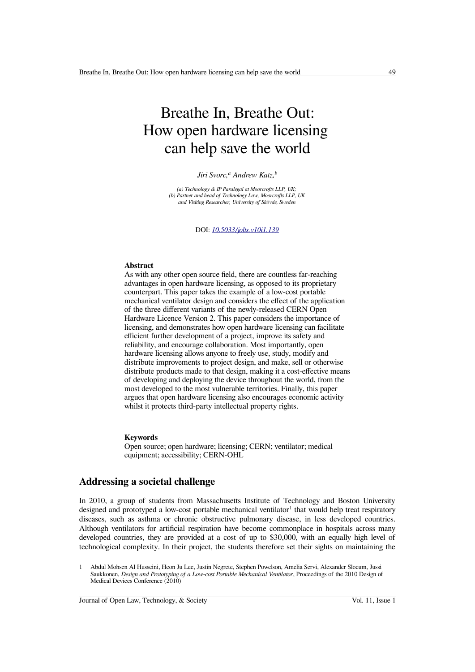# Breathe In, Breathe Out: How open hardware licensing can help save the world

*Jiri Svorc,<sup>a</sup> Andrew Katz,<sup>b</sup>*

*(a) Technology & IP Paralegal at Moorcrofts LLP, UK; (b) Partner and head of Technology Law, Moorcrofts LLP, UK and Visiting Researcher, University of Skövde, Sweden*

DOI: *[10.5033/jolts.v10i1.139](https://www.doi.org/10.5033/jolts.v10i1.139)*

#### **Abstract**

As with any other open source field, there are countless far-reaching advantages in open hardware licensing, as opposed to its proprietary counterpart. This paper takes the example of a low-cost portable mechanical ventilator design and considers the effect of the application of the three different variants of the newly-released CERN Open Hardware Licence Version 2. This paper considers the importance of licensing, and demonstrates how open hardware licensing can facilitate efficient further development of a project, improve its safety and reliability, and encourage collaboration. Most importantly, open hardware licensing allows anyone to freely use, study, modify and distribute improvements to project design, and make, sell or otherwise distribute products made to that design, making it a cost-effective means of developing and deploying the device throughout the world, from the most developed to the most vulnerable territories. Finally, this paper argues that open hardware licensing also encourages economic activity whilst it protects third-party intellectual property rights.

#### **Keywords**

Open source; open hardware; licensing; CERN; ventilator; medical equipment; accessibility; CERN-OHL

## **Addressing a societal challenge**

In 2010, a group of students from Massachusetts Institute of Technology and Boston University designed and prototyped a low-cost portable mechanical ventilator<sup>[1](#page-0-0)</sup> that would help treat respiratory diseases, such as asthma or chronic obstructive pulmonary disease, in less developed countries. Although ventilators for artificial respiration have become commonplace in hospitals across many developed countries, they are provided at a cost of up to \$30,000, with an equally high level of technological complexity. In their project, the students therefore set their sights on maintaining the

<span id="page-0-0"></span>1 Abdul Mohsen Al Husseini, Heon Ju Lee, Justin Negrete, Stephen Powelson, Amelia Servi, Alexander Slocum, Jussi Saukkonen, *Design and Prototyping of a Low-cost Portable Mechanical Ventilator*, Proceedings of the 2010 Design of Medical Devices Conference (2010)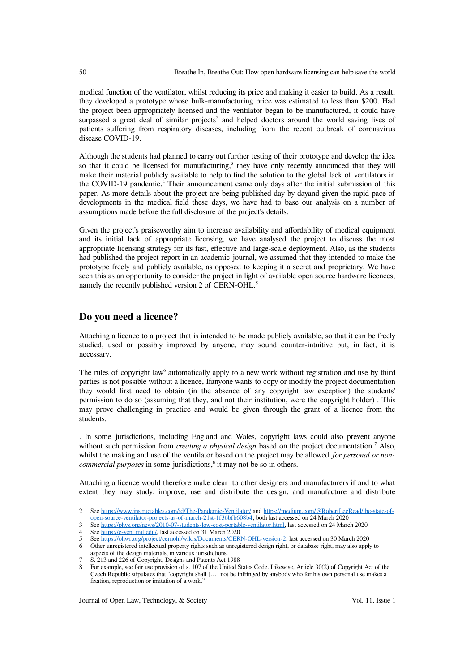medical function of the ventilator, whilst reducing its price and making it easier to build. As a result, they developed a prototype whose bulk-manufacturing price was estimated to less than \$200. Had the project been appropriately licensed and the ventilator began to be manufactured, it could have surpassed a great deal of similar projects<sup>[2](#page-1-0)</sup> and helped doctors around the world saving lives of patients suffering from respiratory diseases, including from the recent outbreak of coronavirus disease COVID-19.

Although the students had planned to carry out further testing of their prototype and develop the idea so that it could be licensed for manufacturing, $3$  they have only recently announced that they will make their material publicly available to help to find the solution to the global lack of ventilators in the COVID-19 pandemic.<sup>[4](#page-1-2)</sup> Their announcement came only days after the initial submission of this paper. As more details about the project are being published day by dayand given the rapid pace of developments in the medical field these days, we have had to base our analysis on a number of assumptions made before the full disclosure of the project's details.

Given the project's praiseworthy aim to increase availability and affordability of medical equipment and its initial lack of appropriate licensing, we have analysed the project to discuss the most appropriate licensing strategy for its fast, effective and large-scale deployment. Also, as the students had published the project report in an academic journal, we assumed that they intended to make the prototype freely and publicly available, as opposed to keeping it a secret and proprietary. We have seen this as an opportunity to consider the project in light of available open source hardware licences, namely the recently published version 2 of CERN-OHL.<sup>[5](#page-1-3)</sup>

## **Do you need a licence?**

Attaching a licence to a project that is intended to be made publicly available, so that it can be freely studied, used or possibly improved by anyone, may sound counter-intuitive but, in fact, it is necessary.

The rules of copyright law<sup>[6](#page-1-4)</sup> automatically apply to a new work without registration and use by third parties is not possible without a licence, Ifanyone wants to copy or modify the project documentation they would first need to obtain (in the absence of any copyright law exception) the students' permission to do so (assuming that they, and not their institution, were the copyright holder) . This may prove challenging in practice and would be given through the grant of a licence from the students.

. In some jurisdictions, including England and Wales, copyright laws could also prevent anyone without such permission from *creating a physical design* based on the project documentation.<sup>[7](#page-1-5)</sup> Also, whilst the making and use of the ventilator based on the project may be allowed *for personal or noncommercial purposes* in some jurisdictions,<sup>[8](#page-1-6)</sup> it may not be so in others.

Attaching a licence would therefore make clear to other designers and manufacturers if and to what extent they may study, improve, use and distribute the design, and manufacture and distribute

<span id="page-1-0"></span><sup>2</sup> See <https://www.instructables.com/id/The-Pandemic-Ventilator/> and [https://medium.com/@RobertLeeRead/the-state-of](https://medium.com/@RobertLeeRead/the-state-of-open-source-ventilator-projects-as-of-march-21st-1f36bfb608b4)[open-source-ventilator-projects-as-of-march-21st-1f36bfb608b4,](https://medium.com/@RobertLeeRead/the-state-of-open-source-ventilator-projects-as-of-march-21st-1f36bfb608b4) both last accessed on 24 March 2020

<span id="page-1-1"></span><sup>3</sup> See [https://phys.org/news/2010-07-students-low-cost-portable-ventilator.html,](https://phys.org/news/2010-07-students-low-cost-portable-ventilator.html) last accessed on 24 March 2020

<span id="page-1-2"></span>See [https://e-vent.mit.edu/,](https://e-vent.mit.edu/) last accessed on 31 March 2020

<span id="page-1-3"></span><sup>5</sup> See [https://ohwr.org/project/cernohl/wikis/Documents/CERN-OHL-version-2,](https://ohwr.org/project/cernohl/wikis/Documents/CERN-OHL-version-2) last accessed on 30 March 2020

<span id="page-1-4"></span><sup>6</sup> Other unregistered intellectual property rights such as unregistered design right, or database right, may also apply to aspects of the design materials, in various jurisdictions.

<span id="page-1-5"></span><sup>7</sup> S. 213 and 226 of Copyright, Designs and Patents Act 1988

<span id="page-1-6"></span><sup>8</sup> For example, see fair use provision of s. 107 of the United States Code. Likewise, Article 30(2) of Copyright Act of the Czech Republic stipulates that "copyright shall […] not be infringed by anybody who for his own personal use makes a fixation, reproduction or imitation of a work."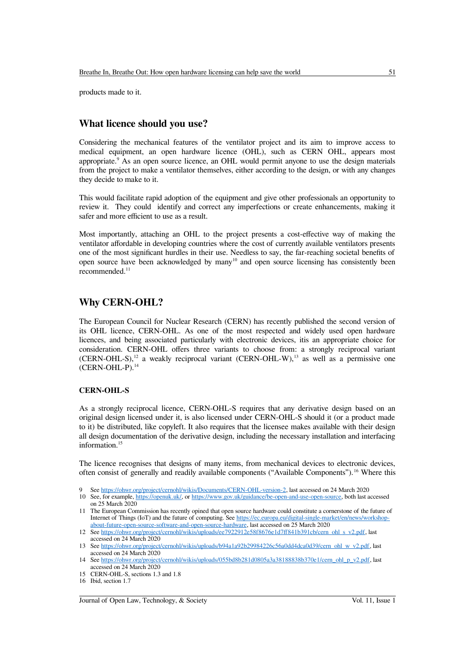products made to it.

## **What licence should you use?**

Considering the mechanical features of the ventilator project and its aim to improve access to medical equipment, an open hardware licence (OHL), such as CERN OHL, appears most appropriate.<sup>[9](#page-2-0)</sup> As an open source licence, an OHL would permit anyone to use the design materials from the project to make a ventilator themselves, either according to the design, or with any changes they decide to make to it.

This would facilitate rapid adoption of the equipment and give other professionals an opportunity to review it. They could identify and correct any imperfections or create enhancements, making it safer and more efficient to use as a result.

Most importantly, attaching an OHL to the project presents a cost-effective way of making the ventilator affordable in developing countries where the cost of currently available ventilators presents one of the most significant hurdles in their use. Needless to say, the far-reaching societal benefits of open source have been acknowledged by many[10](#page-2-1) and open source licensing has consistently been recommended.<sup>[11](#page-2-2)</sup>

## **Why CERN-OHL?**

The European Council for Nuclear Research (CERN) has recently published the second version of its OHL licence, CERN-OHL. As one of the most respected and widely used open hardware licences, and being associated particularly with electronic devices, itis an appropriate choice for consideration. CERN-OHL offers three variants to choose from: a strongly reciprocal variant  $(CERN-OHL-S)$ ,<sup>[12](#page-2-3)</sup> a weakly reciprocal variant  $(CERN-OHL-W)$ ,<sup>[13](#page-2-4)</sup> as well as a permissive one (CERN-OHL-P).[14](#page-2-5)

#### **CERN-OHL-S**

As a strongly reciprocal licence, CERN-OHL-S requires that any derivative design based on an original design licensed under it, is also licensed under CERN-OHL-S should it (or a product made to it) be distributed, like copyleft. It also requires that the licensee makes available with their design all design documentation of the derivative design, including the necessary installation and interfacing information.[15](#page-2-6)

The licence recognises that designs of many items, from mechanical devices to electronic devices, often consist of generally and readily available components ("Available Components").[16](#page-2-7) Where this

- <span id="page-2-0"></span>9 See [https://ohwr.org/project/cernohl/wikis/Documents/CERN-OHL-version-2,](https://ohwr.org/project/cernohl/wikis/Documents/CERN-OHL-version-2) last accessed on 24 March 2020
- <span id="page-2-1"></span>10 See, for example, [https://openuk.uk/,](https://openuk.uk/) or<https://www.gov.uk/guidance/be-open-and-use-open-source>, both last accessed on 25 March 2020
- <span id="page-2-2"></span>11 The European Commission has recently opined that open source hardware could constitute a cornerstone of the future of Internet of Things (IoT) and the future of computing. See [https://ec.europa.eu/digital-single-market/en/news/workshop](https://ec.europa.eu/digital-single-market/en/news/workshop-about-future-open-source-software-and-open-source-hardware)[about-future-open-source-software-and-open-source-hardware](https://ec.europa.eu/digital-single-market/en/news/workshop-about-future-open-source-software-and-open-source-hardware), last accessed on 25 March 2020
- <span id="page-2-3"></span>12 See [https://ohwr.org/project/cernohl/wikis/uploads/ee7922912e58f8676e1d7ff841b391cb/cern\\_ohl\\_s\\_v2.pdf,](https://ohwr.org/project/cernohl/wikis/uploads/ee7922912e58f8676e1d7ff841b391cb/cern_ohl_s_v2.pdf) last accessed on 24 March 2020
- <span id="page-2-4"></span>13 See [https://ohwr.org/project/cernohl/wikis/uploads/b94a1a92b29984226c56a0dd4dca0d39/cern\\_ohl\\_w\\_v2.pdf](https://ohwr.org/project/cernohl/wikis/uploads/b94a1a92b29984226c56a0dd4dca0d39/cern_ohl_w_v2.pdf), last accessed on 24 March 2020
- <span id="page-2-5"></span>14 See [https://ohwr.org/project/cernohl/wikis/uploads/055bd8b281d0805a3a38188838b370e1/cern\\_ohl\\_p\\_v2.pdf,](https://ohwr.org/project/cernohl/wikis/uploads/055bd8b281d0805a3a38188838b370e1/cern_ohl_p_v2.pdf) last accessed on 24 March 2020
- <span id="page-2-6"></span>15 CERN-OHL-S, sections 1.3 and 1.8

<span id="page-2-7"></span><sup>16</sup> Ibid, section 1.7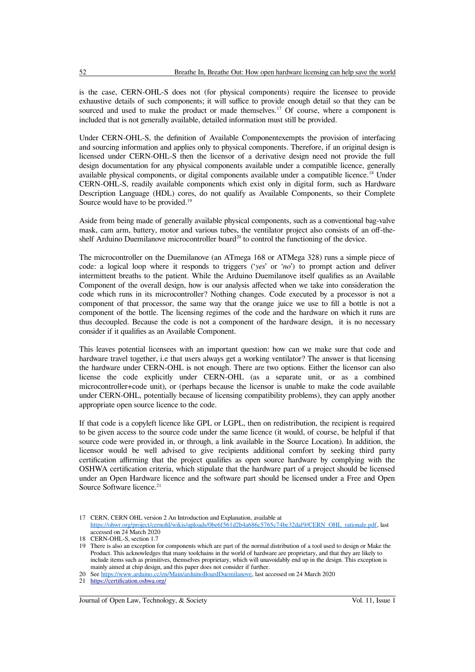is the case, CERN-OHL-S does not (for physical components) require the licensee to provide exhaustive details of such components; it will suffice to provide enough detail so that they can be sourced and used to make the product or made themselves.<sup>[17](#page-3-0)</sup> Of course, where a component is included that is not generally available, detailed information must still be provided.

Under CERN-OHL-S, the definition of Available Componentexempts the provision of interfacing and sourcing information and applies only to physical components. Therefore, if an original design is licensed under CERN-OHL-S then the licensor of a derivative design need not provide the full design documentation for any physical components available under a compatible licence, generally available physical components, or digital components available under a compatible licence.<sup>[18](#page-3-1)</sup> Under CERN-OHL-S, readily available components which exist only in digital form, such as Hardware Description Language (HDL) cores, do not qualify as Available Components, so their Complete Source would have to be provided.<sup>[19](#page-3-2)</sup>

Aside from being made of generally available physical components, such as a conventional bag-valve mask, cam arm, battery, motor and various tubes, the ventilator project also consists of an off-the-shelf Arduino Duemilanove microcontroller board<sup>[20](#page-3-3)</sup> to control the functioning of the device.

The microcontroller on the Duemilanove (an ATmega 168 or ATMega 328) runs a simple piece of code: a logical loop where it responds to triggers ('*yes*' or '*no*') to prompt action and deliver intermittent breaths to the patient. While the Arduino Duemilanove itself qualifies as an Available Component of the overall design, how is our analysis affected when we take into consideration the code which runs in its microcontroller? Nothing changes. Code executed by a processor is not a component of that processor, the same way that the orange juice we use to fill a bottle is not a component of the bottle. The licensing regimes of the code and the hardware on which it runs are thus decoupled. Because the code is not a component of the hardware design, it is no necessary consider if it qualifies as an Available Component.

This leaves potential licensees with an important question: how can we make sure that code and hardware travel together, i.e that users always get a working ventilator? The answer is that licensing the hardware under CERN-OHL is not enough. There are two options. Either the licensor can also license the code explicitly under CERN-OHL (as a separate unit, or as a combined microcontroller+code unit), or (perhaps because the licensor is unable to make the code available under CERN-OHL, potentially because of licensing compatibility problems), they can apply another appropriate open source licence to the code.

If that code is a copyleft licence like GPL or LGPL, then on redistribution, the recipient is required to be given access to the source code under the same licence (it would, of course, be helpful if that source code were provided in, or through, a link available in the Source Location). In addition, the licensor would be well advised to give recipients additional comfort by seeking third party certification affirming that the project qualifies as open source hardware by complying with the OSHWA certification criteria, which stipulate that the hardware part of a project should be licensed under an Open Hardware licence and the software part should be licensed under a Free and Open Source Software licence.<sup>[21](#page-3-4)</sup>

<span id="page-3-0"></span><sup>17</sup> CERN, CERN OHL version 2 An Introduction and Explanation, available at

[https://ohwr.org/project/cernohl/wikis/uploads/0be6f561d2b4a686c5765c74be32daf9/CERN\\_OHL\\_rationale.pdf,](https://ohwr.org/project/cernohl/wikis/uploads/0be6f561d2b4a686c5765c74be32daf9/CERN_OHL_rationale.pdf) last accessed on 24 March 2020

<span id="page-3-1"></span><sup>18</sup> CERN-OHL-S, section 1.7

<span id="page-3-2"></span><sup>19</sup> There is also an exception for components which are part of the normal distribution of a tool used to design or Make the Product. This acknowledges that many toolchains in the world of hardware are proprietary, and that they are likely to include items such as primitives, themselves proprietary, which will unavoidably end up in the design. This exception is mainly aimed at chip design, and this paper does not consider if further.

<span id="page-3-3"></span><sup>20</sup> See [https://www.arduino.cc/en/Main/arduinoBoardDuemilanove,](https://www.arduino.cc/en/Main/arduinoBoardDuemilanove) last accessed on 24 March 2020

<span id="page-3-4"></span><sup>21</sup><https://certification.oshwa.org/>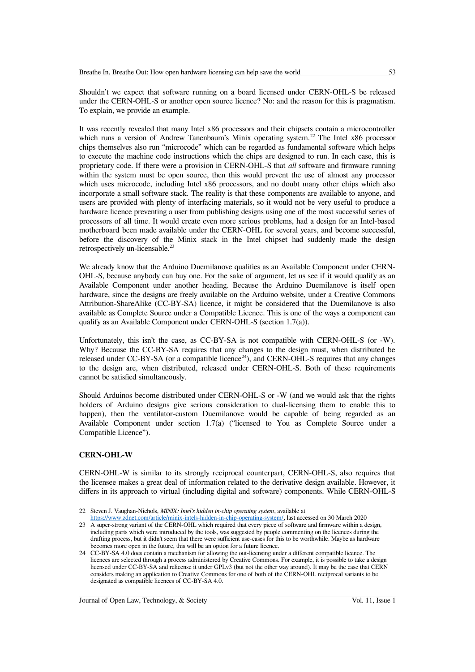Shouldn't we expect that software running on a board licensed under CERN-OHL-S be released under the CERN-OHL-S or another open source licence? No: and the reason for this is pragmatism. To explain, we provide an example.

It was recently revealed that many Intel x86 processors and their chipsets contain a microcontroller which runs a version of Andrew Tanenbaum's Minix operating system.<sup>[22](#page-4-0)</sup> The Intel x86 processor chips themselves also run "microcode" which can be regarded as fundamental software which helps to execute the machine code instructions which the chips are designed to run. In each case, this is proprietary code. If there were a provision in CERN-OHL-S that *all* software and firmware running within the system must be open source, then this would prevent the use of almost any processor which uses microcode, including Intel x86 processors, and no doubt many other chips which also incorporate a small software stack. The reality is that these components are available to anyone, and users are provided with plenty of interfacing materials, so it would not be very useful to produce a hardware licence preventing a user from publishing designs using one of the most successful series of processors of all time. It would create even more serious problems, had a design for an Intel-based motherboard been made available under the CERN-OHL for several years, and become successful, before the discovery of the Minix stack in the Intel chipset had suddenly made the design retrospectively un-licensable.<sup>[23](#page-4-1)</sup>

We already know that the Arduino Duemilanove qualifies as an Available Component under CERN-OHL-S, because anybody can buy one. For the sake of argument, let us see if it would qualify as an Available Component under another heading. Because the Arduino Duemilanove is itself open hardware, since the designs are freely available on the Arduino website, under a Creative Commons Attribution-ShareAlike (CC-BY-SA) licence, it might be considered that the Duemilanove is also available as Complete Source under a Compatible Licence. This is one of the ways a component can qualify as an Available Component under CERN-OHL-S (section 1.7(a)).

Unfortunately, this isn't the case, as CC-BY-SA is not compatible with CERN-OHL-S (or -W). Why? Because the CC-BY-SA requires that any changes to the design must, when distributed be released under CC-BY-SA (or a compatible licence<sup>[24](#page-4-2)</sup>), and CERN-OHL-S requires that any changes to the design are, when distributed, released under CERN-OHL-S. Both of these requirements cannot be satisfied simultaneously.

Should Arduinos become distributed under CERN-OHL-S or -W (and we would ask that the rights holders of Arduino designs give serious consideration to dual-licensing them to enable this to happen), then the ventilator-custom Duemilanove would be capable of being regarded as an Available Component under section 1.7(a) ("licensed to You as Complete Source under a Compatible Licence").

#### **CERN-OHL-W**

CERN-OHL-W is similar to its strongly reciprocal counterpart, CERN-OHL-S, also requires that the licensee makes a great deal of information related to the derivative design available. However, it differs in its approach to virtual (including digital and software) components. While CERN-OHL-S

<span id="page-4-1"></span>[https://www.zdnet.com/article/minix-intels-hidden-in-chip-operating-system/,](https://www.zdnet.com/article/minix-intels-hidden-in-chip-operating-system/) last accessed on 30 March 2020 23 A super-strong variant of the CERN-OHL which required that every piece of software and firmware within a design,

<span id="page-4-0"></span><sup>22</sup> Steven J. Vaughan-Nichols, *MINIX: Intel's hidden in-chip operating system*, available at

including parts which were introduced by the tools, was suggested by people commenting on the licences during the drafting process, but it didn't seem that there were sufficient use-cases for this to be worthwhile. Maybe as hardware becomes more open in the future, this will be an option for a future licence.

<span id="page-4-2"></span><sup>24</sup> CC-BY-SA 4.0 does contain a mechanism for allowing the out-licensing under a different compatible licence. The licences are selected through a process administered by Creative Commons. For example, it is possible to take a design licensed under CC-BY-SA and relicense it under GPLv3 (but not the other way around). It may be the case that CERN considers making an application to Creative Commons for one of both of the CERN-OHL reciprocal variants to be designated as compatible licences of CC-BY-SA 4.0.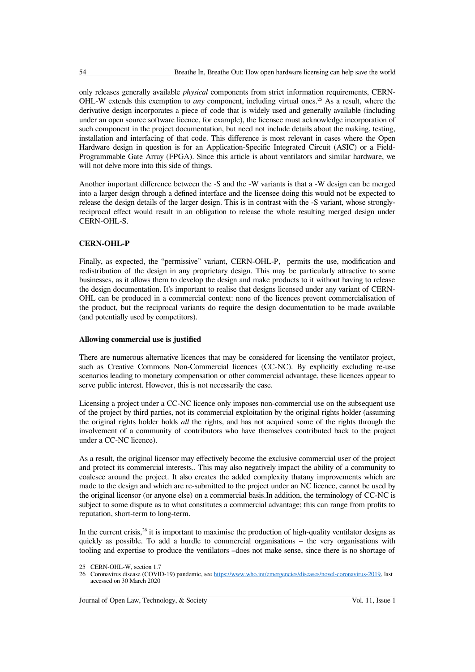only releases generally available *physical* components from strict information requirements, CERN-OHL-W extends this exemption to *any* component, including virtual ones.<sup>[25](#page-5-0)</sup> As a result, where the derivative design incorporates a piece of code that is widely used and generally available (including under an open source software licence, for example), the licensee must acknowledge incorporation of such component in the project documentation, but need not include details about the making, testing, installation and interfacing of that code. This difference is most relevant in cases where the Open Hardware design in question is for an Application-Specific Integrated Circuit (ASIC) or a Field-Programmable Gate Array (FPGA). Since this article is about ventilators and similar hardware, we will not delve more into this side of things.

Another important difference between the -S and the -W variants is that a -W design can be merged into a larger design through a defined interface and the licensee doing this would not be expected to release the design details of the larger design. This is in contrast with the -S variant, whose stronglyreciprocal effect would result in an obligation to release the whole resulting merged design under CERN-OHL-S.

### **CERN-OHL-P**

Finally, as expected, the "permissive" variant, CERN-OHL-P, permits the use, modification and redistribution of the design in any proprietary design. This may be particularly attractive to some businesses, as it allows them to develop the design and make products to it without having to release the design documentation. It's important to realise that designs licensed under any variant of CERN-OHL can be produced in a commercial context: none of the licences prevent commercialisation of the product, but the reciprocal variants do require the design documentation to be made available (and potentially used by competitors).

#### **Allowing commercial use is justified**

There are numerous alternative licences that may be considered for licensing the ventilator project, such as Creative Commons Non-Commercial licences (CC-NC). By explicitly excluding re-use scenarios leading to monetary compensation or other commercial advantage, these licences appear to serve public interest. However, this is not necessarily the case.

Licensing a project under a CC-NC licence only imposes non-commercial use on the subsequent use of the project by third parties, not its commercial exploitation by the original rights holder (assuming the original rights holder holds *all* the rights, and has not acquired some of the rights through the involvement of a community of contributors who have themselves contributed back to the project under a CC-NC licence).

As a result, the original licensor may effectively become the exclusive commercial user of the project and protect its commercial interests.. This may also negatively impact the ability of a community to coalesce around the project. It also creates the added complexity thatany improvements which are made to the design and which are re-submitted to the project under an NC licence, cannot be used by the original licensor (or anyone else) on a commercial basis.In addition, the terminology of CC-NC is subject to some dispute as to what constitutes a commercial advantage; this can range from profits to reputation, short-term to long-term.

In the current crisis, $^{26}$  $^{26}$  $^{26}$  it is important to maximise the production of high-quality ventilator designs as quickly as possible. To add a hurdle to commercial organisations – the very organisations with tooling and expertise to produce the ventilators –does not make sense, since there is no shortage of

<span id="page-5-1"></span>26 Coronavirus disease (COVID-19) pandemic, see [https://www.who.int/emergencies/diseases/novel-coronavirus-2019,](https://www.who.int/emergencies/diseases/novel-coronavirus-2019) last accessed on 30 March 2020

Journal of Open Law, Technology, & Society Vol. 11, Issue 1

<span id="page-5-0"></span><sup>25</sup> CERN-OHL-W, section 1.7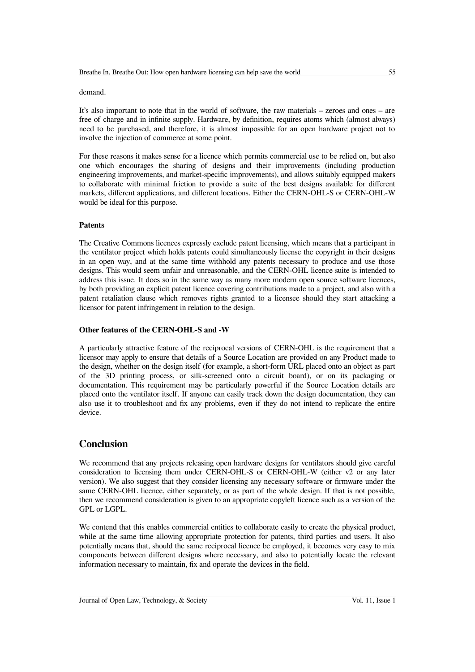#### demand.

It's also important to note that in the world of software, the raw materials – zeroes and ones – are free of charge and in infinite supply. Hardware, by definition, requires atoms which (almost always) need to be purchased, and therefore, it is almost impossible for an open hardware project not to involve the injection of commerce at some point.

For these reasons it makes sense for a licence which permits commercial use to be relied on, but also one which encourages the sharing of designs and their improvements (including production engineering improvements, and market-specific improvements), and allows suitably equipped makers to collaborate with minimal friction to provide a suite of the best designs available for different markets, different applications, and different locations. Either the CERN-OHL-S or CERN-OHL-W would be ideal for this purpose.

#### **Patents**

The Creative Commons licences expressly exclude patent licensing, which means that a participant in the ventilator project which holds patents could simultaneously license the copyright in their designs in an open way, and at the same time withhold any patents necessary to produce and use those designs. This would seem unfair and unreasonable, and the CERN-OHL licence suite is intended to address this issue. It does so in the same way as many more modern open source software licences, by both providing an explicit patent licence covering contributions made to a project, and also with a patent retaliation clause which removes rights granted to a licensee should they start attacking a licensor for patent infringement in relation to the design.

#### **Other features of the CERN-OHL-S and -W**

A particularly attractive feature of the reciprocal versions of CERN-OHL is the requirement that a licensor may apply to ensure that details of a Source Location are provided on any Product made to the design, whether on the design itself (for example, a short-form URL placed onto an object as part of the 3D printing process, or silk-screened onto a circuit board), or on its packaging or documentation. This requirement may be particularly powerful if the Source Location details are placed onto the ventilator itself. If anyone can easily track down the design documentation, they can also use it to troubleshoot and fix any problems, even if they do not intend to replicate the entire device.

# **Conclusion**

We recommend that any projects releasing open hardware designs for ventilators should give careful consideration to licensing them under CERN-OHL-S or CERN-OHL-W (either v2 or any later version). We also suggest that they consider licensing any necessary software or firmware under the same CERN-OHL licence, either separately, or as part of the whole design. If that is not possible, then we recommend consideration is given to an appropriate copyleft licence such as a version of the GPL or LGPL.

We contend that this enables commercial entities to collaborate easily to create the physical product, while at the same time allowing appropriate protection for patents, third parties and users. It also potentially means that, should the same reciprocal licence be employed, it becomes very easy to mix components between different designs where necessary, and also to potentially locate the relevant information necessary to maintain, fix and operate the devices in the field.